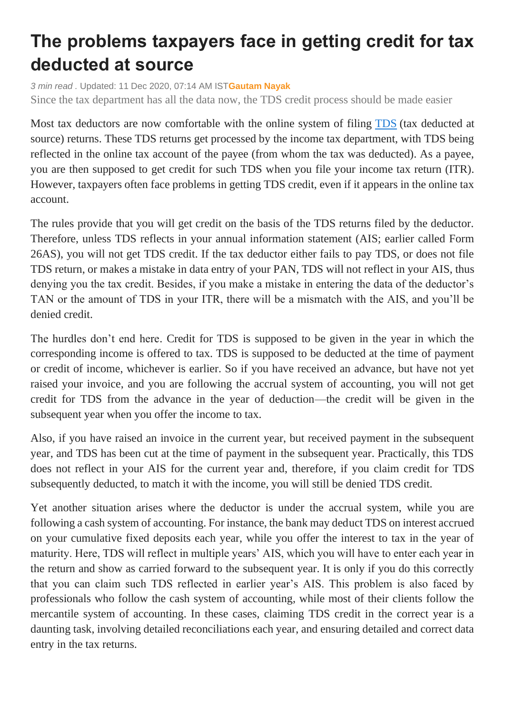## **The problems taxpayers face in getting credit for tax deducted at source**

*3 min read .* Updated: 11 Dec 2020, 07:14 AM IST**[Gautam Nayak](https://www.livemint.com/Search/Link/Author/Gautam-Nayak)**

Since the tax department has all the data now, the TDS credit process should be made easier

Most tax deductors are now comfortable with the online system of filing [TDS](https://www.livemint.com/money/ask-mint-money/details-of-tds-are-mentioned-in-sale-deed-11605542244612.html) (tax deducted at source) returns. These TDS returns get processed by the income tax department, with TDS being reflected in the online tax account of the payee (from whom the tax was deducted). As a payee, you are then supposed to get credit for such TDS when you file your income tax return (ITR). However, taxpayers often face problems in getting TDS credit, even if it appears in the online tax account.

The rules provide that you will get credit on the basis of the TDS returns filed by the deductor. Therefore, unless TDS reflects in your annual information statement (AIS; earlier called Form 26AS), you will not get TDS credit. If the tax deductor either fails to pay TDS, or does not file TDS return, or makes a mistake in data entry of your PAN, TDS will not reflect in your AIS, thus denying you the tax credit. Besides, if you make a mistake in entering the data of the deductor's TAN or the amount of TDS in your ITR, there will be a mismatch with the AIS, and you'll be denied credit.

The hurdles don't end here. Credit for TDS is supposed to be given in the year in which the corresponding income is offered to tax. TDS is supposed to be deducted at the time of payment or credit of income, whichever is earlier. So if you have received an advance, but have not yet raised your invoice, and you are following the accrual system of accounting, you will not get credit for TDS from the advance in the year of deduction—the credit will be given in the subsequent year when you offer the income to tax.

Also, if you have raised an invoice in the current year, but received payment in the subsequent year, and TDS has been cut at the time of payment in the subsequent year. Practically, this TDS does not reflect in your AIS for the current year and, therefore, if you claim credit for TDS subsequently deducted, to match it with the income, you will still be denied TDS credit.

Yet another situation arises where the deductor is under the accrual system, while you are following a cash system of accounting. For instance, the bank may deduct TDS on interest accrued on your cumulative fixed deposits each year, while you offer the interest to tax in the year of maturity. Here, TDS will reflect in multiple years' AIS, which you will have to enter each year in the return and show as carried forward to the subsequent year. It is only if you do this correctly that you can claim such TDS reflected in earlier year's AIS. This problem is also faced by professionals who follow the cash system of accounting, while most of their clients follow the mercantile system of accounting. In these cases, claiming TDS credit in the correct year is a daunting task, involving detailed reconciliations each year, and ensuring detailed and correct data entry in the tax returns.